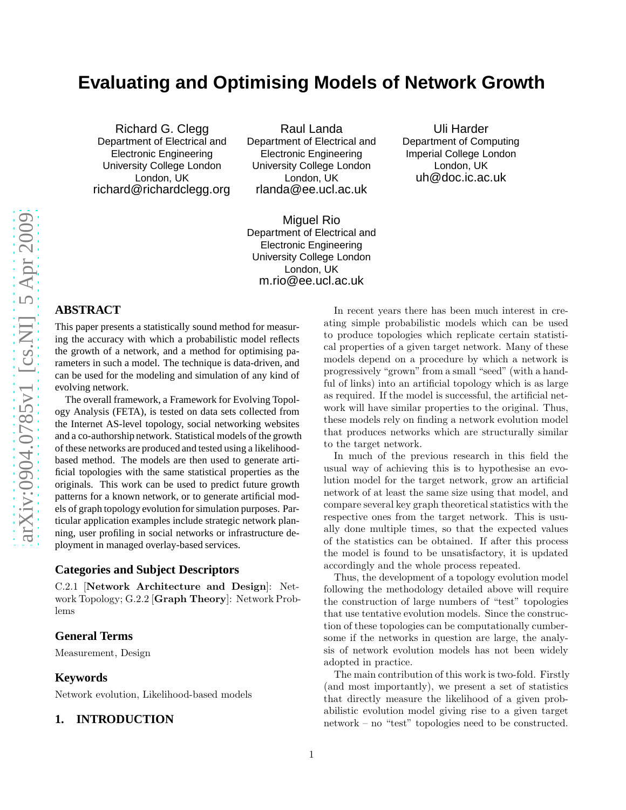# **Evaluating and Optimising Models of Network Growth**

Richard G. Clegg Department of Electrical and Electronic Engineering University College London London, UK richard@richardclegg.org

Raul Landa Department of Electrical and Electronic Engineering University College London London, UK rlanda@ee.ucl.ac.uk

Uli Harder Department of Computing Imperial College London London, UK uh@doc.ic.ac.uk

Miguel Rio Department of Electrical and Electronic Engineering University College London London, UK m.rio@ee.ucl.ac.uk

# **ABSTRACT**

This paper presents a statistically sound method for measur ing the accuracy with which a probabilistic model reflects the growth of a network, and a method for optimising parameters in such a model. The technique is data-driven, and can be used for the modeling and simulation of any kind of evolving network.

The overall framework, a Framework for Evolving Topology Analysis (FETA), is tested on data sets collected from the Internet AS-level topology, social networking website s and a co-authorship network. Statistical models of the growth of these networks are produced and tested using a likelihood based method. The models are then used to generate artificial topologies with the same statistical properties as the originals. This work can be used to predict future growth patterns for a known network, or to generate artificial models of graph topology evolution for simulation purposes. Particular application examples include strategic network planning, user profiling in social networks or infrastructure deployment in managed overlay-based services.

#### **Categories and Subject Descriptors**

C.2.1 [Network Architecture and Design]: Network Topology; G.2.2 [Graph Theory]: Network Problems

## **General Terms**

Measurement, Design

#### **Keywords**

Network evolution, Likelihood-based models

# **1. INTRODUCTION**

In recent years there has been much interest in creating simple probabilistic models which can be used to produce topologies which replicate certain statistical properties of a given target network. Many of these models depend on a procedure by which a network is progressively "grown" from a small "seed" (with a handful of links) into an artificial topology which is as large as required. If the model is successful, the artificial network will have similar properties to the original. Thus, these models rely on finding a network evolution model that produces networks which are structurally similar to the target network.

In much of the previous research in this field the usual way of achieving this is to hypothesise an evolution model for the target network, grow an artificial network of at least the same size using that model, and compare several key graph theoretical statistics with the respective ones from the target network. This is usually done multiple times, so that the expected values of the statistics can be obtained. If after this process the model is found to be unsatisfactory, it is updated accordingly and the whole process repeated.

Thus, the development of a topology evolution model following the methodology detailed above will require the construction of large numbers of "test" topologies that use tentative evolution models. Since the construction of these topologies can be computationally cumbersome if the networks in question are large, the analysis of network evolution models has not been widely adopted in practice.

The main contribution of this work is two-fold. Firstly (and most importantly), we present a set of statistics that directly measure the likelihood of a given probabilistic evolution model giving rise to a given target network – no "test" topologies need to be constructed.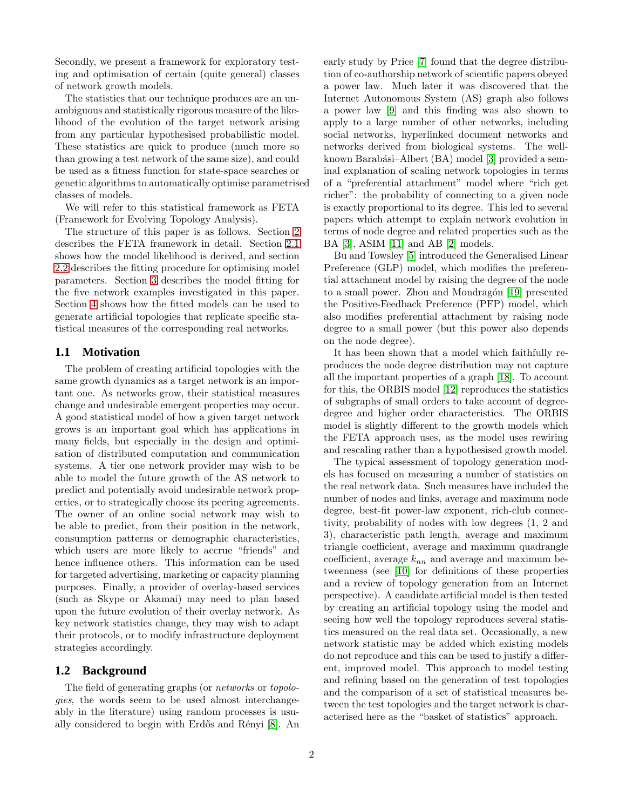Secondly, we present a framework for exploratory testing and optimisation of certain (quite general) classes of network growth models.

The statistics that our technique produces are an unambiguous and statistically rigorous measure of the likelihood of the evolution of the target network arising from any particular hypothesised probabilistic model. These statistics are quick to produce (much more so than growing a test network of the same size), and could be used as a fitness function for state-space searches or genetic algorithms to automatically optimise parametrised classes of models.

We will refer to this statistical framework as FETA (Framework for Evolving Topology Analysis).

The structure of this paper is as follows. Section [2](#page-2-0) describes the FETA framework in detail. Section [2.1](#page-2-1) shows how the model likelihood is derived, and section [2.2](#page-4-0) describes the fitting procedure for optimising model parameters. Section [3](#page-5-0) describes the model fitting for the five network examples investigated in this paper. Section [4](#page-10-0) shows how the fitted models can be used to generate artificial topologies that replicate specific statistical measures of the corresponding real networks.

## **1.1 Motivation**

The problem of creating artificial topologies with the same growth dynamics as a target network is an important one. As networks grow, their statistical measures change and undesirable emergent properties may occur. A good statistical model of how a given target network grows is an important goal which has applications in many fields, but especially in the design and optimisation of distributed computation and communication systems. A tier one network provider may wish to be able to model the future growth of the AS network to predict and potentially avoid undesirable network properties, or to strategically choose its peering agreements. The owner of an online social network may wish to be able to predict, from their position in the network, consumption patterns or demographic characteristics, which users are more likely to accrue "friends" and hence influence others. This information can be used for targeted advertising, marketing or capacity planning purposes. Finally, a provider of overlay-based services (such as Skype or Akamai) may need to plan based upon the future evolution of their overlay network. As key network statistics change, they may wish to adapt their protocols, or to modify infrastructure deployment strategies accordingly.

## **1.2 Background**

The field of generating graphs (or *networks* or *topologies*, the words seem to be used almost interchangeably in the literature) using random processes is usu-ally considered to begin with Erdős and Rényi [\[8\]](#page-13-0). An early study by Price [\[7\]](#page-13-1) found that the degree distribution of co-authorship network of scientific papers obeyed a power law. Much later it was discovered that the Internet Autonomous System (AS) graph also follows a power law [\[9\]](#page-13-2) and this finding was also shown to apply to a large number of other networks, including social networks, hyperlinked document networks and networks derived from biological systems. The well-known Barabási–Albert (BA) model [\[3\]](#page-13-3) provided a seminal explanation of scaling network topologies in terms of a "preferential attachment" model where "rich get richer": the probability of connecting to a given node is exactly proportional to its degree. This led to several papers which attempt to explain network evolution in terms of node degree and related properties such as the BA [\[3\]](#page-13-3), ASIM [\[11\]](#page-13-4) and AB [\[2\]](#page-13-5) models.

Bu and Towsley [\[5\]](#page-13-6) introduced the Generalised Linear Preference (GLP) model, which modifies the preferential attachment model by raising the degree of the node to a small power. Zhou and Mondragón [\[19\]](#page-13-7) presented the Positive-Feedback Preference (PFP) model, which also modifies preferential attachment by raising node degree to a small power (but this power also depends on the node degree).

It has been shown that a model which faithfully reproduces the node degree distribution may not capture all the important properties of a graph [\[18\]](#page-13-8). To account for this, the ORBIS model [\[12\]](#page-13-9) reproduces the statistics of subgraphs of small orders to take account of degreedegree and higher order characteristics. The ORBIS model is slightly different to the growth models which the FETA approach uses, as the model uses rewiring and rescaling rather than a hypothesised growth model.

The typical assessment of topology generation models has focused on measuring a number of statistics on the real network data. Such measures have included the number of nodes and links, average and maximum node degree, best-fit power-law exponent, rich-club connectivity, probability of nodes with low degrees (1, 2 and 3), characteristic path length, average and maximum triangle coefficient, average and maximum quadrangle coefficient, average  $k_{nn}$  and average and maximum betweenness (see [\[10\]](#page-13-10) for definitions of these properties and a review of topology generation from an Internet perspective). A candidate artificial model is then tested by creating an artificial topology using the model and seeing how well the topology reproduces several statistics measured on the real data set. Occasionally, a new network statistic may be added which existing models do not reproduce and this can be used to justify a different, improved model. This approach to model testing and refining based on the generation of test topologies and the comparison of a set of statistical measures between the test topologies and the target network is characterised here as the "basket of statistics" approach.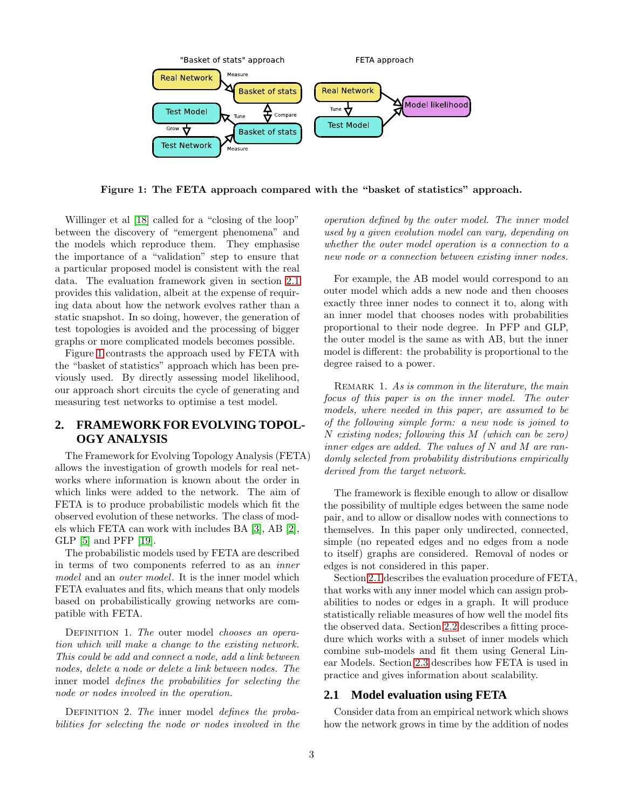

<span id="page-2-2"></span>Figure 1: The FETA approach compared with the "basket of statistics" approach.

Willinger et al [\[18\]](#page-13-8) called for a "closing of the loop" between the discovery of "emergent phenomena" and the models which reproduce them. They emphasise the importance of a "validation" step to ensure that a particular proposed model is consistent with the real data. The evaluation framework given in section [2.1](#page-2-1) provides this validation, albeit at the expense of requiring data about how the network evolves rather than a static snapshot. In so doing, however, the generation of test topologies is avoided and the processing of bigger graphs or more complicated models becomes possible.

Figure [1](#page-2-2) contrasts the approach used by FETA with the "basket of statistics" approach which has been previously used. By directly assessing model likelihood, our approach short circuits the cycle of generating and measuring test networks to optimise a test model.

# <span id="page-2-0"></span>**2. FRAMEWORK FOR EVOLVING TOPOL-OGY ANALYSIS**

The Framework for Evolving Topology Analysis (FETA) allows the investigation of growth models for real networks where information is known about the order in which links were added to the network. The aim of FETA is to produce probabilistic models which fit the observed evolution of these networks. The class of models which FETA can work with includes BA [\[3\]](#page-13-3), AB [\[2\]](#page-13-5), GLP [\[5\]](#page-13-6) and PFP [\[19\]](#page-13-7).

The probabilistic models used by FETA are described in terms of two components referred to as an *inner model* and an *outer model*. It is the inner model which FETA evaluates and fits, which means that only models based on probabilistically growing networks are compatible with FETA.

Definition 1. *The* outer model *chooses an operation which will make a change to the existing network. This could be add and connect a node, add a link between nodes, delete a node or delete a link between nodes. The* inner model *defines the probabilities for selecting the node or nodes involved in the operation.*

Definition 2. *The* inner model *defines the probabilities for selecting the node or nodes involved in the*

*operation defined by the outer model. The inner model used by a given evolution model can vary, depending on whether the outer model operation is a connection to a new node or a connection between existing inner nodes.*

For example, the AB model would correspond to an outer model which adds a new node and then chooses exactly three inner nodes to connect it to, along with an inner model that chooses nodes with probabilities proportional to their node degree. In PFP and GLP, the outer model is the same as with AB, but the inner model is different: the probability is proportional to the degree raised to a power.

Remark 1. *As is common in the literature, the main focus of this paper is on the inner model. The outer models, where needed in this paper, are assumed to be of the following simple form: a new node is joined to* N *existing nodes; following this* M *(which can be zero) inner edges are added. The values of* N *and* M *are randomly selected from probability distributions empirically derived from the target network.*

The framework is flexible enough to allow or disallow the possibility of multiple edges between the same node pair, and to allow or disallow nodes with connections to themselves. In this paper only undirected, connected, simple (no repeated edges and no edges from a node to itself) graphs are considered. Removal of nodes or edges is not considered in this paper.

Section [2.1](#page-2-1) describes the evaluation procedure of FETA, that works with any inner model which can assign probabilities to nodes or edges in a graph. It will produce statistically reliable measures of how well the model fits the observed data. Section [2.2](#page-4-0) describes a fitting procedure which works with a subset of inner models which combine sub-models and fit them using General Linear Models. Section [2.3](#page-5-1) describes how FETA is used in practice and gives information about scalability.

#### <span id="page-2-1"></span>**2.1 Model evaluation using FETA**

Consider data from an empirical network which shows how the network grows in time by the addition of nodes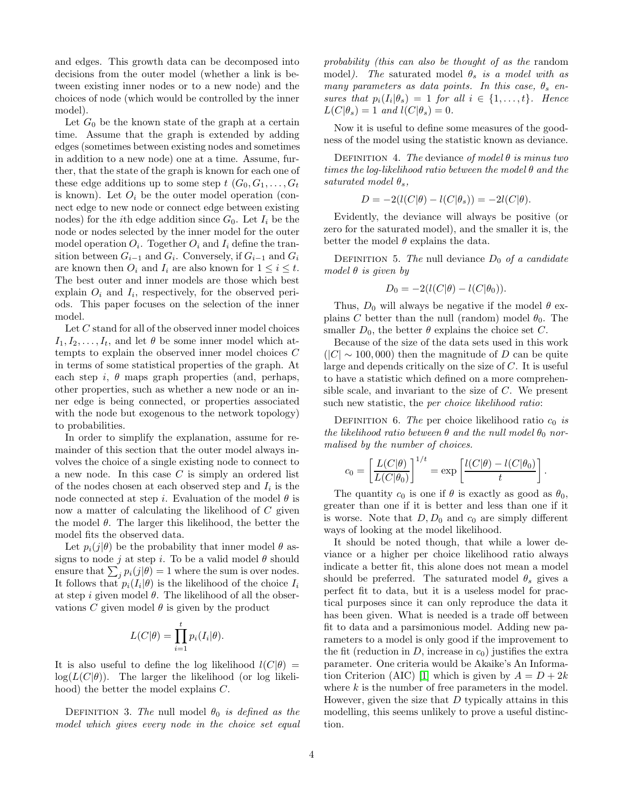and edges. This growth data can be decomposed into decisions from the outer model (whether a link is between existing inner nodes or to a new node) and the choices of node (which would be controlled by the inner model).

Let  $G_0$  be the known state of the graph at a certain time. Assume that the graph is extended by adding edges (sometimes between existing nodes and sometimes in addition to a new node) one at a time. Assume, further, that the state of the graph is known for each one of these edge additions up to some step  $t$   $(G_0, G_1, \ldots, G_t)$ is known). Let  $O_i$  be the outer model operation (connect edge to new node or connect edge between existing nodes) for the *i*th edge addition since  $G_0$ . Let  $I_i$  be the node or nodes selected by the inner model for the outer model operation  $O_i$ . Together  $O_i$  and  $I_i$  define the transition between  $G_{i-1}$  and  $G_i$ . Conversely, if  $G_{i-1}$  and  $G_i$ are known then  $O_i$  and  $I_i$  are also known for  $1 \leq i \leq t$ . The best outer and inner models are those which best explain  $O_i$  and  $I_i$ , respectively, for the observed periods. This paper focuses on the selection of the inner model.

Let C stand for all of the observed inner model choices  $I_1, I_2, \ldots, I_t$ , and let  $\theta$  be some inner model which attempts to explain the observed inner model choices C in terms of some statistical properties of the graph. At each step i,  $\theta$  maps graph properties (and, perhaps, other properties, such as whether a new node or an inner edge is being connected, or properties associated with the node but exogenous to the network topology) to probabilities.

In order to simplify the explanation, assume for remainder of this section that the outer model always involves the choice of a single existing node to connect to a new node. In this case  $C$  is simply an ordered list of the nodes chosen at each observed step and  $I_i$  is the node connected at step i. Evaluation of the model  $\theta$  is now a matter of calculating the likelihood of C given the model  $\theta$ . The larger this likelihood, the better the model fits the observed data.

Let  $p_i(j|\theta)$  be the probability that inner model  $\theta$  assigns to node j at step i. To be a valid model  $\theta$  should ensure that  $\sum_j p_i(j|\theta) = 1$  where the sum is over nodes. It follows that  $p_i(I_i|\theta)$  is the likelihood of the choice  $I_i$ at step i given model  $\theta$ . The likelihood of all the observations C given model  $\theta$  is given by the product

$$
L(C|\theta) = \prod_{i=1}^{t} p_i(I_i|\theta).
$$

It is also useful to define the log likelihood  $l(C|\theta)$  =  $log(L(C|\theta))$ . The larger the likelihood (or log likelihood) the better the model explains C.

DEFINITION 3. The null model  $\theta_0$  *is defined as the model which gives every node in the choice set equal* *probability (this can also be thought of as the* random model*)*. The saturated model  $\theta_s$  *is a model with as many parameters as data points. In this case,*  $\theta_s$  *ensures that*  $p_i(I_i|\theta_s) = 1$  *for all*  $i \in \{1, ..., t\}$ *. Hence*  $L(C|\theta_s) = 1$  and  $l(C|\theta_s) = 0$ .

Now it is useful to define some measures of the goodness of the model using the statistic known as deviance.

Definition 4. *The* deviance *of model* θ *is minus two times the log-likelihood ratio between the model* θ *and the saturated model*  $\theta_s$ *,* 

$$
D = -2(l(C|\theta) - l(C|\theta_s)) = -2l(C|\theta).
$$

Evidently, the deviance will always be positive (or zero for the saturated model), and the smaller it is, the better the model  $\theta$  explains the data.

DEFINITION 5. The null deviance  $D_0$  of a candidate *model* θ *is given by*

$$
D_0 = -2(l(C|\theta) - l(C|\theta_0)).
$$

Thus,  $D_0$  will always be negative if the model  $\theta$  explains C better than the null (random) model  $\theta_0$ . The smaller  $D_0$ , the better  $\theta$  explains the choice set C.

Because of the size of the data sets used in this work  $(|C| \sim 100,000)$  then the magnitude of D can be quite large and depends critically on the size of C. It is useful to have a statistic which defined on a more comprehensible scale, and invariant to the size of C. We present such new statistic, the *per choice likelihood ratio*:

DEFINITION 6. *The* per choice likelihood ratio  $c_0$  *is the likelihood ratio between*  $\theta$  *and the null model*  $\theta_0$  *normalised by the number of choices.*

$$
c_0 = \left[\frac{L(C|\theta)}{L(C|\theta_0)}\right]^{1/t} = \exp\left[\frac{l(C|\theta) - l(C|\theta_0)}{t}\right].
$$

The quantity  $c_0$  is one if  $\theta$  is exactly as good as  $\theta_0$ , greater than one if it is better and less than one if it is worse. Note that  $D, D_0$  and  $c_0$  are simply different ways of looking at the model likelihood.

It should be noted though, that while a lower deviance or a higher per choice likelihood ratio always indicate a better fit, this alone does not mean a model should be preferred. The saturated model  $\theta_s$  gives a perfect fit to data, but it is a useless model for practical purposes since it can only reproduce the data it has been given. What is needed is a trade off between fit to data and a parsimonious model. Adding new parameters to a model is only good if the improvement to the fit (reduction in  $D$ , increase in  $c_0$ ) justifies the extra parameter. One criteria would be Akaike's An Informa-tion Criterion (AIC) [\[1\]](#page-13-11) which is given by  $A = D + 2k$ where  $k$  is the number of free parameters in the model. However, given the size that  $D$  typically attains in this modelling, this seems unlikely to prove a useful distinction.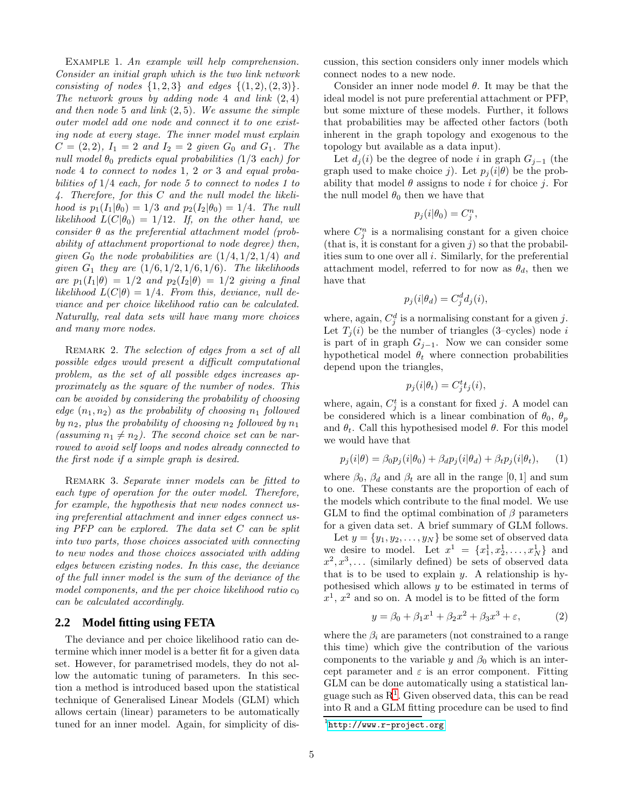EXAMPLE 1. An example will help comprehension. *Consider an initial graph which is the two link network consisting of nodes*  $\{1, 2, 3\}$  *and edges*  $\{(1, 2), (2, 3)\}.$ *The network grows by adding node* 4 *and link* (2, 4) *and then node* 5 *and link* (2, 5)*. We assume the simple outer model add one node and connect it to one existing node at every stage. The inner model must explain*  $C = (2, 2), I_1 = 2$  *and*  $I_2 = 2$  *given*  $G_0$  *and*  $G_1$ *. The null model*  $\theta_0$  *predicts equal probabilities (1/3 each) for node* 4 *to connect to nodes* 1*,* 2 *or* 3 *and equal probabilities of* 1/4 *each, for node 5 to connect to nodes 1 to 4. Therefore, for this* C *and the null model the likelihood is*  $p_1(I_1|\theta_0) = 1/3$  *and*  $p_2(I_2|\theta_0) = 1/4$ *. The null likelihood*  $L(C|\theta_0) = 1/12$ *. If, on the other hand, we consider* θ *as the preferential attachment model (probability of attachment proportional to node degree) then, given*  $G_0$  *the node probabilities are*  $(1/4, 1/2, 1/4)$  *and given*  $G_1$  *they are*  $(1/6, 1/2, 1/6, 1/6)$ *. The likelihoods are*  $p_1(I_1|\theta) = 1/2$  *and*  $p_2(I_2|\theta) = 1/2$  *giving a final likelihood*  $L(C|\theta) = 1/4$ *. From this, deviance, null deviance and per choice likelihood ratio can be calculated. Naturally, real data sets will have many more choices and many more nodes.*

<span id="page-4-4"></span>Remark 2. *The selection of edges from a set of all possible edges would present a difficult computational problem, as the set of all possible edges increases approximately as the square of the number of nodes. This can be avoided by considering the probability of choosing*  $edge (n_1, n_2)$  *as the probability of choosing*  $n_1$  *followed by*  $n_2$ *, plus the probability of choosing*  $n_2$  *followed by*  $n_1$ (assuming  $n_1 \neq n_2$ ). The second choice set can be nar*rowed to avoid self loops and nodes already connected to the first node if a simple graph is desired.*

<span id="page-4-3"></span>Remark 3. *Separate inner models can be fitted to each type of operation for the outer model. Therefore, for example, the hypothesis that new nodes connect using preferential attachment and inner edges connect using PFP can be explored. The data set* C *can be split into two parts, those choices associated with connecting to new nodes and those choices associated with adding edges between existing nodes. In this case, the deviance of the full inner model is the sum of the deviance of the* model components, and the per choice likelihood ratio  $c_0$ *can be calculated accordingly.*

#### <span id="page-4-0"></span>**2.2 Model fitting using FETA**

The deviance and per choice likelihood ratio can determine which inner model is a better fit for a given data set. However, for parametrised models, they do not allow the automatic tuning of parameters. In this section a method is introduced based upon the statistical technique of Generalised Linear Models (GLM) which allows certain (linear) parameters to be automatically tuned for an inner model. Again, for simplicity of discussion, this section considers only inner models which connect nodes to a new node.

Consider an inner node model  $\theta$ . It may be that the ideal model is not pure preferential attachment or PFP, but some mixture of these models. Further, it follows that probabilities may be affected other factors (both inherent in the graph topology and exogenous to the topology but available as a data input).

Let  $d_i(i)$  be the degree of node i in graph  $G_{i-1}$  (the graph used to make choice j). Let  $p_i (i | \theta)$  be the probability that model  $\theta$  assigns to node *i* for choice *j*. For the null model  $\theta_0$  then we have that

$$
p_j(i|\theta_0) = C_j^n,
$$

where  $C_j^n$  is a normalising constant for a given choice (that is, it is constant for a given  $j$ ) so that the probabilities sum to one over all i. Similarly, for the preferential attachment model, referred to for now as  $\theta_d$ , then we have that

$$
p_j(i|\theta_d) = C_j^d d_j(i),
$$

where, again,  $C_j^d$  is a normalising constant for a given j. Let  $T_i(i)$  be the number of triangles (3–cycles) node i is part of in graph  $G_{j-1}$ . Now we can consider some hypothetical model  $\theta_t$  where connection probabilities depend upon the triangles,

$$
p_j(i|\theta_t) = C_j^t t_j(i),
$$

where, again,  $C_j^t$  is a constant for fixed j. A model can be considered which is a linear combination of  $\theta_0$ ,  $\theta_p$ and  $\theta_t$ . Call this hypothesised model  $\theta$ . For this model we would have that

<span id="page-4-2"></span>
$$
p_j(i|\theta) = \beta_0 p_j(i|\theta_0) + \beta_d p_j(i|\theta_d) + \beta_t p_j(i|\theta_t), \quad (1)
$$

where  $\beta_0$ ,  $\beta_d$  and  $\beta_t$  are all in the range [0, 1] and sum to one. These constants are the proportion of each of the models which contribute to the final model. We use GLM to find the optimal combination of  $\beta$  parameters for a given data set. A brief summary of GLM follows.

Let  $y = \{y_1, y_2, \ldots, y_N\}$  be some set of observed data we desire to model. Let  $x^1 = \{x_1^1, x_2^1, ..., x_N^1\}$  and  $x^2, x^3, \ldots$  (similarly defined) be sets of observed data that is to be used to explain  $y$ . A relationship is hypothesised which allows y to be estimated in terms of  $x<sup>1</sup>$ ,  $x<sup>2</sup>$  and so on. A model is to be fitted of the form

$$
y = \beta_0 + \beta_1 x^1 + \beta_2 x^2 + \beta_3 x^3 + \varepsilon,
$$
 (2)

where the  $\beta_i$  are parameters (not constrained to a range this time) which give the contribution of the various components to the variable y and  $\beta_0$  which is an intercept parameter and  $\varepsilon$  is an error component. Fitting GLM can be done automatically using a statistical language such as R[1](#page-4-1) . Given observed data, this can be read into R and a GLM fitting procedure can be used to find

<span id="page-4-1"></span><sup>&</sup>lt;sup>1</sup><http://www.r-project.org>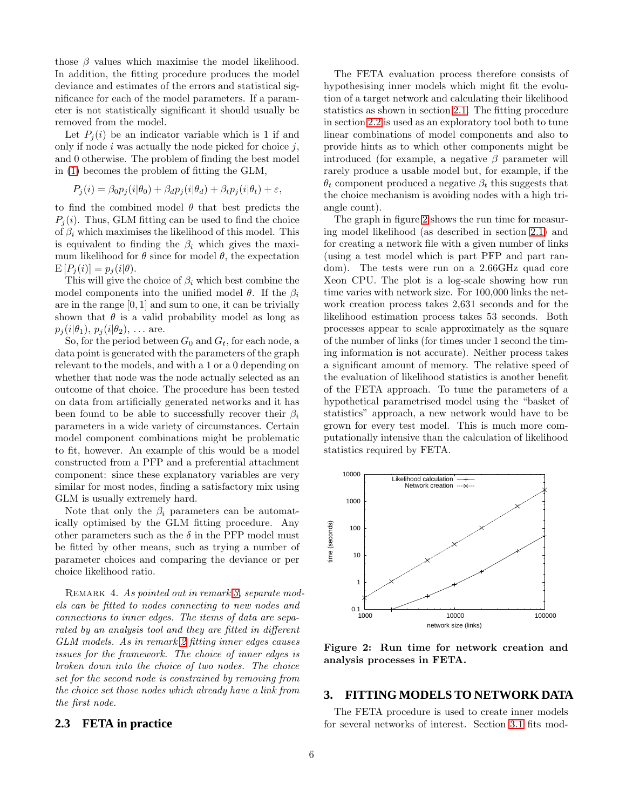those  $\beta$  values which maximise the model likelihood. In addition, the fitting procedure produces the model deviance and estimates of the errors and statistical significance for each of the model parameters. If a parameter is not statistically significant it should usually be removed from the model.

Let  $P_i(i)$  be an indicator variable which is 1 if and only if node  $i$  was actually the node picked for choice  $j$ , and 0 otherwise. The problem of finding the best model in [\(1\)](#page-4-2) becomes the problem of fitting the GLM,

$$
P_j(i) = \beta_0 p_j(i|\theta_0) + \beta_d p_j(i|\theta_d) + \beta_t p_j(i|\theta_t) + \varepsilon,
$$

to find the combined model  $\theta$  that best predicts the  $P_i(i)$ . Thus, GLM fitting can be used to find the choice of  $\beta_i$  which maximises the likelihood of this model. This is equivalent to finding the  $\beta_i$  which gives the maximum likelihood for  $\theta$  since for model  $\theta$ , the expectation  $E[P_i(i)] = p_i(i|\theta).$ 

This will give the choice of  $\beta_i$  which best combine the model components into the unified model  $\theta$ . If the  $\beta_i$ are in the range [0, 1] and sum to one, it can be trivially shown that  $\theta$  is a valid probability model as long as  $p_j(i|\theta_1), p_j(i|\theta_2), \ldots$  are.

So, for the period between  $G_0$  and  $G_t$ , for each node, a data point is generated with the parameters of the graph relevant to the models, and with a 1 or a 0 depending on whether that node was the node actually selected as an outcome of that choice. The procedure has been tested on data from artificially generated networks and it has been found to be able to successfully recover their  $\beta_i$ parameters in a wide variety of circumstances. Certain model component combinations might be problematic to fit, however. An example of this would be a model constructed from a PFP and a preferential attachment component: since these explanatory variables are very similar for most nodes, finding a satisfactory mix using GLM is usually extremely hard.

Note that only the  $\beta_i$  parameters can be automatically optimised by the GLM fitting procedure. Any other parameters such as the  $\delta$  in the PFP model must be fitted by other means, such as trying a number of parameter choices and comparing the deviance or per choice likelihood ratio.

Remark 4. *As pointed out in remark [3,](#page-4-3) separate models can be fitted to nodes connecting to new nodes and connections to inner edges. The items of data are separated by an analysis tool and they are fitted in different GLM models. As in remark [2](#page-4-4) fitting inner edges causes issues for the framework. The choice of inner edges is broken down into the choice of two nodes. The choice set for the second node is constrained by removing from the choice set those nodes which already have a link from the first node.*

## <span id="page-5-1"></span>**2.3 FETA in practice**

The FETA evaluation process therefore consists of hypothesising inner models which might fit the evolution of a target network and calculating their likelihood statistics as shown in section [2.1.](#page-2-1) The fitting procedure in section [2.2](#page-4-0) is used as an exploratory tool both to tune linear combinations of model components and also to provide hints as to which other components might be introduced (for example, a negative  $\beta$  parameter will rarely produce a usable model but, for example, if the  $\theta_t$  component produced a negative  $\beta_t$  this suggests that the choice mechanism is avoiding nodes with a high triangle count).

The graph in figure [2](#page-5-2) shows the run time for measuring model likelihood (as described in section [2.1\)](#page-2-1) and for creating a network file with a given number of links (using a test model which is part PFP and part random). The tests were run on a 2.66GHz quad core Xeon CPU. The plot is a log-scale showing how run time varies with network size. For 100,000 links the network creation process takes 2,631 seconds and for the likelihood estimation process takes 53 seconds. Both processes appear to scale approximately as the square of the number of links (for times under 1 second the timing information is not accurate). Neither process takes a significant amount of memory. The relative speed of the evaluation of likelihood statistics is another benefit of the FETA approach. To tune the parameters of a hypothetical parametrised model using the "basket of statistics" approach, a new network would have to be grown for every test model. This is much more computationally intensive than the calculation of likelihood statistics required by FETA.



<span id="page-5-2"></span>Figure 2: Run time for network creation and analysis processes in FETA.

#### <span id="page-5-0"></span>**3. FITTING MODELS TO NETWORK DATA**

The FETA procedure is used to create inner models for several networks of interest. Section [3.1](#page-6-0) fits mod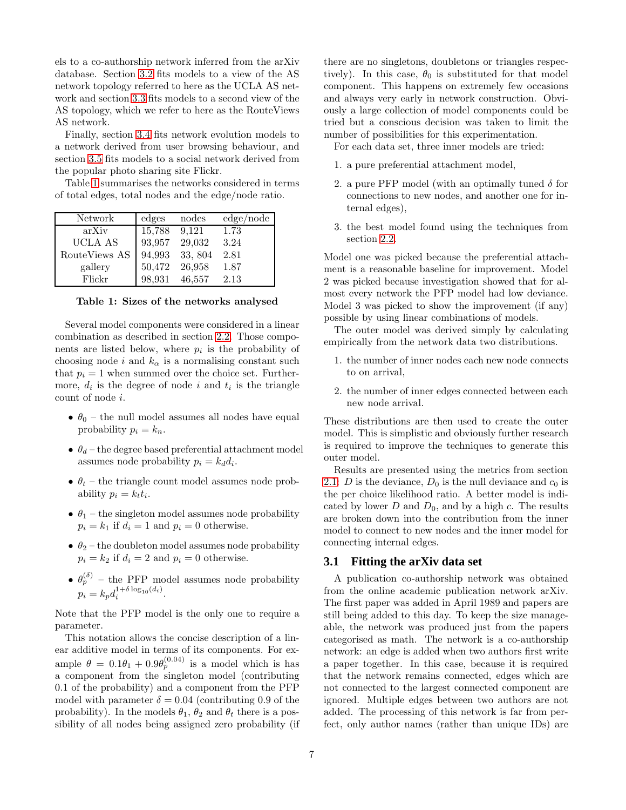els to a co-authorship network inferred from the arXiv database. Section [3.2](#page-7-0) fits models to a view of the AS network topology referred to here as the UCLA AS network and section [3.3](#page-8-0) fits models to a second view of the AS topology, which we refer to here as the RouteViews AS network.

Finally, section [3.4](#page-9-0) fits network evolution models to a network derived from user browsing behaviour, and section [3.5](#page-9-1) fits models to a social network derived from the popular photo sharing site Flickr.

Table [1](#page-6-1) summarises the networks considered in terms of total edges, total nodes and the edge/node ratio.

| Network        | edges  | nodes   | edge/node |
|----------------|--------|---------|-----------|
| arXiv          | 15,788 | 9.121   | 1.73      |
| <b>UCLA AS</b> | 93,957 | 29,032  | 3.24      |
| RouteViews AS  | 94,993 | 33, 804 | 2.81      |
| gallery        | 50,472 | 26,958  | 1.87      |
| Flickr         | 98,931 | 46,557  | 2.13      |

<span id="page-6-1"></span>Table 1: Sizes of the networks analysed

Several model components were considered in a linear combination as described in section [2.2.](#page-4-0) Those components are listed below, where  $p_i$  is the probability of choosing node i and  $k_{\alpha}$  is a normalising constant such that  $p_i = 1$  when summed over the choice set. Furthermore,  $d_i$  is the degree of node i and  $t_i$  is the triangle count of node i.

- $\theta_0$  the null model assumes all nodes have equal probability  $p_i = k_n$ .
- $\theta_d$  the degree based preferential attachment model assumes node probability  $p_i = k_d d_i$ .
- $\theta_t$  the triangle count model assumes node probability  $p_i = k_t t_i$ .
- $\theta_1$  the singleton model assumes node probability  $p_i = k_1$  if  $d_i = 1$  and  $p_i = 0$  otherwise.
- $\theta_2$  the doubleton model assumes node probability  $p_i = k_2$  if  $d_i = 2$  and  $p_i = 0$  otherwise.
- $\theta_p^{(\delta)}$  the PFP model assumes node probability  $p_i = k_p d_i^{1+\delta \log_{10}(d_i)}$ .

Note that the PFP model is the only one to require a parameter.

This notation allows the concise description of a linear additive model in terms of its components. For example  $\theta = 0.1\theta_1 + 0.9\theta_p^{(0.04)}$  is a model which is has a component from the singleton model (contributing 0.1 of the probability) and a component from the PFP model with parameter  $\delta = 0.04$  (contributing 0.9 of the probability). In the models  $\theta_1$ ,  $\theta_2$  and  $\theta_t$  there is a possibility of all nodes being assigned zero probability (if there are no singletons, doubletons or triangles respectively). In this case,  $\theta_0$  is substituted for that model component. This happens on extremely few occasions and always very early in network construction. Obviously a large collection of model components could be tried but a conscious decision was taken to limit the number of possibilities for this experimentation.

For each data set, three inner models are tried:

- 1. a pure preferential attachment model,
- 2. a pure PFP model (with an optimally tuned  $\delta$  for connections to new nodes, and another one for internal edges),
- 3. the best model found using the techniques from section [2.2.](#page-4-0)

Model one was picked because the preferential attachment is a reasonable baseline for improvement. Model 2 was picked because investigation showed that for almost every network the PFP model had low deviance. Model 3 was picked to show the improvement (if any) possible by using linear combinations of models.

The outer model was derived simply by calculating empirically from the network data two distributions.

- 1. the number of inner nodes each new node connects to on arrival,
- 2. the number of inner edges connected between each new node arrival.

These distributions are then used to create the outer model. This is simplistic and obviously further research is required to improve the techniques to generate this outer model.

Results are presented using the metrics from section [2.1:](#page-2-1) D is the deviance,  $D_0$  is the null deviance and  $c_0$  is the per choice likelihood ratio. A better model is indicated by lower  $D$  and  $D_0$ , and by a high  $c$ . The results are broken down into the contribution from the inner model to connect to new nodes and the inner model for connecting internal edges.

#### <span id="page-6-0"></span>**3.1 Fitting the arXiv data set**

A publication co-authorship network was obtained from the online academic publication network arXiv. The first paper was added in April 1989 and papers are still being added to this day. To keep the size manageable, the network was produced just from the papers categorised as math. The network is a co-authorship network: an edge is added when two authors first write a paper together. In this case, because it is required that the network remains connected, edges which are not connected to the largest connected component are ignored. Multiple edges between two authors are not added. The processing of this network is far from perfect, only author names (rather than unique IDs) are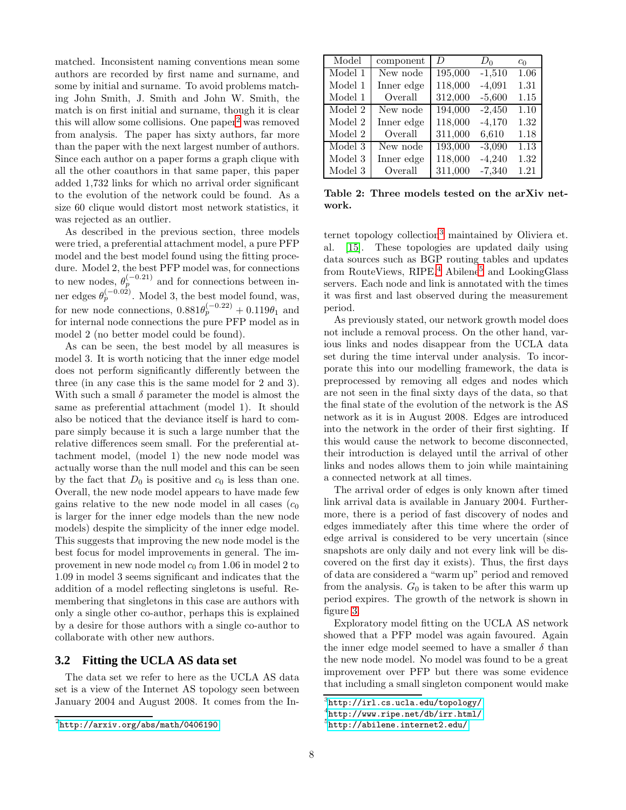matched. Inconsistent naming conventions mean some authors are recorded by first name and surname, and some by initial and surname. To avoid problems matching John Smith, J. Smith and John W. Smith, the match is on first initial and surname, though it is clear this will allow some collisions. One paper<sup>[2](#page-7-1)</sup> was removed from analysis. The paper has sixty authors, far more than the paper with the next largest number of authors. Since each author on a paper forms a graph clique with all the other coauthors in that same paper, this paper added 1,732 links for which no arrival order significant to the evolution of the network could be found. As a size 60 clique would distort most network statistics, it was rejected as an outlier.

As described in the previous section, three models were tried, a preferential attachment model, a pure PFP model and the best model found using the fitting procedure. Model 2, the best PFP model was, for connections to new nodes,  $\theta_p^{(-0.21)}$  and for connections between inner edges  $\theta_p^{(-0.02)}$ . Model 3, the best model found, was, for new node connections,  $0.881\theta_p^{(-0.22)} + 0.119\theta_1$  and for internal node connections the pure PFP model as in model 2 (no better model could be found).

As can be seen, the best model by all measures is model 3. It is worth noticing that the inner edge model does not perform significantly differently between the three (in any case this is the same model for 2 and 3). With such a small  $\delta$  parameter the model is almost the same as preferential attachment (model 1). It should also be noticed that the deviance itself is hard to compare simply because it is such a large number that the relative differences seem small. For the preferential attachment model, (model 1) the new node model was actually worse than the null model and this can be seen by the fact that  $D_0$  is positive and  $c_0$  is less than one. Overall, the new node model appears to have made few gains relative to the new node model in all cases  $(c_0)$ is larger for the inner edge models than the new node models) despite the simplicity of the inner edge model. This suggests that improving the new node model is the best focus for model improvements in general. The improvement in new node model  $c_0$  from 1.06 in model 2 to 1.09 in model 3 seems significant and indicates that the addition of a model reflecting singletons is useful. Remembering that singletons in this case are authors with only a single other co-author, perhaps this is explained by a desire for those authors with a single co-author to collaborate with other new authors.

## <span id="page-7-0"></span>**3.2 Fitting the UCLA AS data set**

The data set we refer to here as the UCLA AS data set is a view of the Internet AS topology seen between January 2004 and August 2008. It comes from the In-

| Model   | component  | D       | $D_0$    | $c_0$ |
|---------|------------|---------|----------|-------|
| Model 1 | New node   | 195,000 | $-1,510$ | 1.06  |
| Model 1 | Inner edge | 118,000 | $-4,091$ | 1.31  |
| Model 1 | Overall    | 312,000 | $-5,600$ | 1.15  |
| Model 2 | New node   | 194,000 | $-2,450$ | 1.10  |
| Model 2 | Inner edge | 118,000 | $-4,170$ | 1.32  |
| Model 2 | Overall    | 311,000 | 6,610    | 1.18  |
| Model 3 | New node   | 193,000 | $-3,090$ | 1.13  |
| Model 3 | Inner edge | 118,000 | $-4,240$ | 1.32  |
| Model 3 | Overall    | 311,000 | $-7,340$ | 1.21  |

<span id="page-7-5"></span>Table 2: Three models tested on the arXiv network.

ternet topology collection<sup>[3](#page-7-2)</sup> maintained by Oliviera et. al. [\[15\]](#page-13-12). These topologies are updated daily using data sources such as BGP routing tables and updates from RouteViews,  $RIPE<sup>4</sup>$  $RIPE<sup>4</sup>$  $RIPE<sup>4</sup>$ , Abilene<sup>[5](#page-7-4)</sup> and LookingGlass servers. Each node and link is annotated with the times it was first and last observed during the measurement period.

As previously stated, our network growth model does not include a removal process. On the other hand, various links and nodes disappear from the UCLA data set during the time interval under analysis. To incorporate this into our modelling framework, the data is preprocessed by removing all edges and nodes which are not seen in the final sixty days of the data, so that the final state of the evolution of the network is the AS network as it is in August 2008. Edges are introduced into the network in the order of their first sighting. If this would cause the network to become disconnected, their introduction is delayed until the arrival of other links and nodes allows them to join while maintaining a connected network at all times.

The arrival order of edges is only known after timed link arrival data is available in January 2004. Furthermore, there is a period of fast discovery of nodes and edges immediately after this time where the order of edge arrival is considered to be very uncertain (since snapshots are only daily and not every link will be discovered on the first day it exists). Thus, the first days of data are considered a "warm up" period and removed from the analysis.  $G_0$  is taken to be after this warm up period expires. The growth of the network is shown in figure [3.](#page-8-1)

Exploratory model fitting on the UCLA AS network showed that a PFP model was again favoured. Again the inner edge model seemed to have a smaller  $\delta$  than the new node model. No model was found to be a great improvement over PFP but there was some evidence that including a small singleton component would make

<span id="page-7-1"></span> $2$ <http://arxiv.org/abs/math/0406190>

<sup>3</sup> <http://irl.cs.ucla.edu/topology/>

<span id="page-7-2"></span><sup>4</sup> <http://www.ripe.net/db/irr.html/>

<span id="page-7-4"></span><span id="page-7-3"></span><sup>5</sup> <http://abilene.internet2.edu/>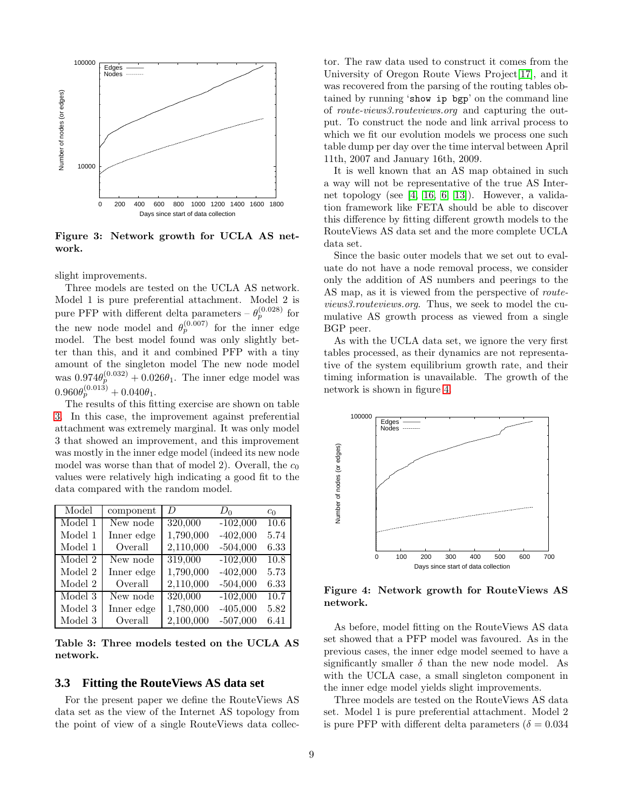

<span id="page-8-1"></span>Figure 3: Network growth for UCLA AS network.

slight improvements.

Three models are tested on the UCLA AS network. Model 1 is pure preferential attachment. Model 2 is pure PFP with different delta parameters –  $\theta_p^{(0.028)}$  for the new node model and  $\theta_p^{(0.007)}$  for the inner edge model. The best model found was only slightly better than this, and it and combined PFP with a tiny amount of the singleton model The new node model was  $0.974\theta_p^{(0.032)} + 0.026\theta_1$ . The inner edge model was  $0.960\theta_p^{(0.013)} + 0.040\theta_1.$ 

The results of this fitting exercise are shown on table [3.](#page-8-2) In this case, the improvement against preferential attachment was extremely marginal. It was only model 3 that showed an improvement, and this improvement was mostly in the inner edge model (indeed its new node model was worse than that of model 2). Overall, the  $c_0$ values were relatively high indicating a good fit to the data compared with the random model.

| Model   | component  | D         | $D_0$      | $c_0$ |
|---------|------------|-----------|------------|-------|
| Model 1 | New node   | 320,000   | $-102,000$ | 10.6  |
| Model 1 | Inner edge | 1,790,000 | $-402,000$ | 5.74  |
| Model 1 | Overall    | 2,110,000 | $-504,000$ | 6.33  |
| Model 2 | New node   | 319,000   | $-102,000$ | 10.8  |
| Model 2 | Inner edge | 1,790,000 | $-402,000$ | 5.73  |
| Model 2 | Overall    | 2,110,000 | $-504,000$ | 6.33  |
| Model 3 | New node   | 320,000   | $-102,000$ | 10.7  |
| Model 3 | Inner edge | 1,780,000 | $-405,000$ | 5.82  |
| Model 3 | Overall    | 2,100,000 | $-507,000$ | 6.41  |

<span id="page-8-2"></span>Table 3: Three models tested on the UCLA AS network.

#### <span id="page-8-0"></span>**3.3 Fitting the RouteViews AS data set**

For the present paper we define the RouteViews AS data set as the view of the Internet AS topology from the point of view of a single RouteViews data collector. The raw data used to construct it comes from the University of Oregon Route Views Project[\[17\]](#page-13-13), and it was recovered from the parsing of the routing tables obtained by running 'show ip bgp' on the command line of *route-views3.routeviews.org* and capturing the output. To construct the node and link arrival process to which we fit our evolution models we process one such table dump per day over the time interval between April 11th, 2007 and January 16th, 2009.

It is well known that an AS map obtained in such a way will not be representative of the true AS Internet topology (see [\[4,](#page-13-14) [16,](#page-13-15) [6,](#page-13-16) [13\]](#page-13-17)). However, a validation framework like FETA should be able to discover this difference by fitting different growth models to the RouteViews AS data set and the more complete UCLA data set.

Since the basic outer models that we set out to evaluate do not have a node removal process, we consider only the addition of AS numbers and peerings to the AS map, as it is viewed from the perspective of *routeviews3.routeviews.org*. Thus, we seek to model the cumulative AS growth process as viewed from a single BGP peer.

As with the UCLA data set, we ignore the very first tables processed, as their dynamics are not representative of the system equilibrium growth rate, and their timing information is unavailable. The growth of the network is shown in figure [4.](#page-8-3)



<span id="page-8-3"></span>Figure 4: Network growth for RouteViews AS network.

As before, model fitting on the RouteViews AS data set showed that a PFP model was favoured. As in the previous cases, the inner edge model seemed to have a significantly smaller  $\delta$  than the new node model. As with the UCLA case, a small singleton component in the inner edge model yields slight improvements.

Three models are tested on the RouteViews AS data set. Model 1 is pure preferential attachment. Model 2 is pure PFP with different delta parameters ( $\delta = 0.034$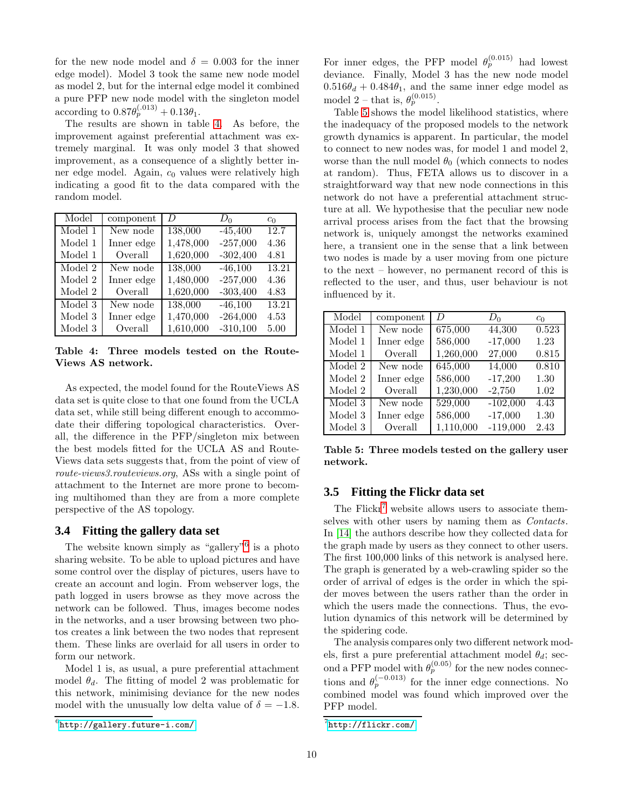for the new node model and  $\delta = 0.003$  for the inner edge model). Model 3 took the same new node model as model 2, but for the internal edge model it combined a pure PFP new node model with the singleton model according to  $0.87 \theta_p^{(.013)} + 0.13 \theta_1$ .

The results are shown in table [4.](#page-9-2) As before, the improvement against preferential attachment was extremely marginal. It was only model 3 that showed improvement, as a consequence of a slightly better inner edge model. Again,  $c_0$  values were relatively high indicating a good fit to the data compared with the random model.

| Model   | component  | D         | $D_0$      | $c_0$ |
|---------|------------|-----------|------------|-------|
| Model 1 | New node   | 138,000   | $-45,400$  | 12.7  |
| Model 1 | Inner edge | 1,478,000 | $-257,000$ | 4.36  |
| Model 1 | Overall    | 1,620,000 | $-302,400$ | 4.81  |
| Model 2 | New node   | 138,000   | $-46,100$  | 13.21 |
| Model 2 | Inner edge | 1,480,000 | $-257,000$ | 4.36  |
| Model 2 | Overall    | 1,620,000 | $-303,400$ | 4.83  |
| Model 3 | New node   | 138,000   | $-46,100$  | 13.21 |
| Model 3 | Inner edge | 1,470,000 | $-264,000$ | 4.53  |
| Model 3 | Overall    | 1,610,000 | $-310,100$ | 5.00  |

<span id="page-9-2"></span>Table 4: Three models tested on the Route-Views AS network.

As expected, the model found for the RouteViews AS data set is quite close to that one found from the UCLA data set, while still being different enough to accommodate their differing topological characteristics. Overall, the difference in the PFP/singleton mix between the best models fitted for the UCLA AS and Route-Views data sets suggests that, from the point of view of *route-views3.routeviews.org*, ASs with a single point of attachment to the Internet are more prone to becoming multihomed than they are from a more complete perspective of the AS topology.

## <span id="page-9-0"></span>**3.4 Fitting the gallery data set**

The website known simply as "gallery"<sup>[6](#page-9-3)</sup> is a photo sharing website. To be able to upload pictures and have some control over the display of pictures, users have to create an account and login. From webserver logs, the path logged in users browse as they move across the network can be followed. Thus, images become nodes in the networks, and a user browsing between two photos creates a link between the two nodes that represent them. These links are overlaid for all users in order to form our network.

Model 1 is, as usual, a pure preferential attachment model  $\theta_d$ . The fitting of model 2 was problematic for this network, minimising deviance for the new nodes model with the unusually low delta value of  $\delta = -1.8$ .

For inner edges, the PFP model  $\theta_p^{(0.015)}$  had lowest deviance. Finally, Model 3 has the new node model  $0.516\theta_d + 0.484\theta_1$ , and the same inner edge model as model 2 – that is,  $\theta_p^{(0.015)}$ .

Table [5](#page-9-4) shows the model likelihood statistics, where the inadequacy of the proposed models to the network growth dynamics is apparent. In particular, the model to connect to new nodes was, for model 1 and model 2, worse than the null model  $\theta_0$  (which connects to nodes at random). Thus, FETA allows us to discover in a straightforward way that new node connections in this network do not have a preferential attachment structure at all. We hypothesise that the peculiar new node arrival process arises from the fact that the browsing network is, uniquely amongst the networks examined here, a transient one in the sense that a link between two nodes is made by a user moving from one picture to the next – however, no permanent record of this is reflected to the user, and thus, user behaviour is not influenced by it.

| Model                       | component  | D         | $D_0$      | c <sub>0</sub>     |
|-----------------------------|------------|-----------|------------|--------------------|
| Model 1                     | New node   | 675,000   | 44,300     | $\overline{0.5}23$ |
| Model 1                     | Inner edge | 586,000   | $-17,000$  | 1.23               |
| Model 1                     | Overall    | 1,260,000 | 27,000     | 0.815              |
| $\overline{\text{Model}}$ 2 | New node   | 645,000   | 14,000     | 0.810              |
| Model 2                     | Inner edge | 586,000   | $-17,200$  | 1.30               |
| $\,$ Model $2$              | Overall    | 1,230,000 | $-2,750$   | 1.02               |
| $\overline{\text{Model}}$ 3 | New node   | 529,000   | $-102,000$ | 4.43               |
| Model 3                     | Inner edge | 586,000   | $-17,000$  | 1.30               |
| Model 3                     | Overall    | 1,110,000 | $-119,000$ | 2.43               |

<span id="page-9-4"></span>Table 5: Three models tested on the gallery user network.

## <span id="page-9-1"></span>**3.5 Fitting the Flickr data set**

The Flickr<sup>[7](#page-9-5)</sup> website allows users to associate themselves with other users by naming them as *Contacts*. In [\[14\]](#page-13-18) the authors describe how they collected data for the graph made by users as they connect to other users. The first 100,000 links of this network is analysed here. The graph is generated by a web-crawling spider so the order of arrival of edges is the order in which the spider moves between the users rather than the order in which the users made the connections. Thus, the evolution dynamics of this network will be determined by the spidering code.

The analysis compares only two different network models, first a pure preferential attachment model  $\theta_d$ ; second a PFP model with  $\theta_p^{(0.05)}$  for the new nodes connections and  $\theta_p^{(-0.013)}$  for the inner edge connections. No combined model was found which improved over the PFP model.

<span id="page-9-3"></span> $^6$ <http://gallery.future-i.com/>

<span id="page-9-5"></span><sup>&</sup>lt;sup>7</sup><http://flickr.com/>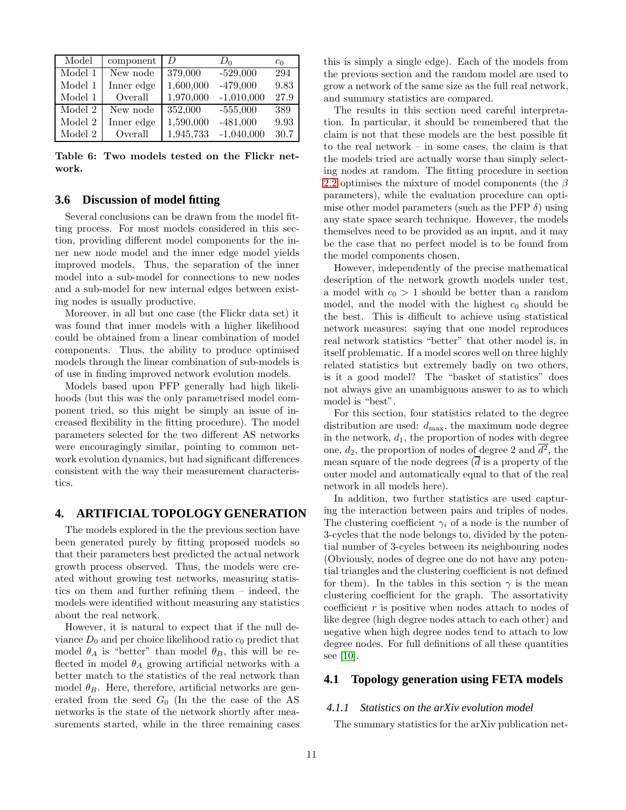| Model                  | component  | D         | $D_0$        | $c_0$ |
|------------------------|------------|-----------|--------------|-------|
| Model 1                | New node   | 379,000   | $-529,000$   | 294   |
| Model 1                | Inner edge | 1,600,000 | $-479,000$   | 9.83  |
| $\,$ Model $\,$ 1 $\,$ | Overall    | 1,970,000 | $-1,010,000$ | 27.9  |
| Model 2                | New node   | 352,000   | $-555,000$   | 389   |
| Model 2                | Inner edge | 1,590,000 | $-481,000$   | 9.93  |
| Model 2                | Overall    | 1,945,733 | $-1,040,000$ | 30.7  |

<span id="page-10-1"></span>Table 6: Two models tested on the Flickr network.

#### **3.6 Discussion of model fitting**

Several conclusions can be drawn from the model fitting process. For most models considered in this section, providing different model components for the inner new node model and the inner edge model yields improved models. Thus, the separation of the inner model into a sub-model for connections to new nodes and a sub-model for new internal edges between existing nodes is usually productive.

Moreover, in all but one case (the Flickr data set) it was found that inner models with a higher likelihood could be obtained from a linear combination of model components. Thus, the ability to produce optimised models through the linear combination of sub-models is of use in finding improved network evolution models.

Models based upon PFP generally had high likelihoods (but this was the only parametrised model component tried, so this might be simply an issue of increased flexibility in the fitting procedure). The model parameters selected for the two different AS networks were encouragingly similar, pointing to common network evolution dynamics, but had significant differences consistent with the way their measurement characteristics.

#### <span id="page-10-0"></span>**4. ARTIFICIAL TOPOLOGY GENERATION**

The models explored in the the previous section have been generated purely by fitting proposed models so that their parameters best predicted the actual network growth process observed. Thus, the models were created without growing test networks, measuring statistics on them and further refining them – indeed, the models were identified without measuring any statistics about the real network.

However, it is natural to expect that if the null deviance  $D_0$  and per choice likelihood ratio  $c_0$  predict that model  $\theta_A$  is "better" than model  $\theta_B$ , this will be reflected in model  $\theta_A$  growing artificial networks with a better match to the statistics of the real network than model  $\theta_B$ . Here, therefore, artificial networks are generated from the seed  $G_0$  (In the the case of the AS networks is the state of the network shortly after measurements started, while in the three remaining cases this is simply a single edge). Each of the models from the previous section and the random model are used to grow a network of the same size as the full real network, and summary statistics are compared.

The results in this section need careful interpretation. In particular, it should be remembered that the claim is not that these models are the best possible fit to the real network – in some cases, the claim is that the models tried are actually worse than simply selecting nodes at random. The fitting procedure in section [2.2](#page-4-0) optimises the mixture of model components (the  $\beta$ parameters), while the evaluation procedure can optimise other model parameters (such as the PFP  $\delta$ ) using any state space search technique. However, the models themselves need to be provided as an input, and it may be the case that no perfect model is to be found from the model components chosen.

However, independently of the precise mathematical description of the network growth models under test, a model with  $c_0 > 1$  should be better than a random model, and the model with the highest  $c_0$  should be the best. This is difficult to achieve using statistical network measures: saying that one model reproduces real network statistics "better" that other model is, in itself problematic. If a model scores well on three highly related statistics but extremely badly on two others, is it a good model? The "basket of statistics" does not always give an unambiguous answer to as to which model is "best".

For this section, four statistics related to the degree distribution are used:  $d_{\text{max}}$ , the maximum node degree in the network,  $d_1$ , the proportion of nodes with degree one,  $d_2$ , the proportion of nodes of degree 2 and  $d^2$ , the mean square of the node degrees  $(\overline{d})$  is a property of the outer model and automatically equal to that of the real network in all models here).

In addition, two further statistics are used capturing the interaction between pairs and triples of nodes. The clustering coefficient  $\gamma_i$  of a node is the number of 3-cycles that the node belongs to, divided by the potential number of 3-cycles between its neighbouring nodes (Obviously, nodes of degree one do not have any potential triangles and the clustering coefficient is not defined for them). In the tables in this section  $\gamma$  is the mean clustering coefficient for the graph. The assortativity coefficient  $r$  is positive when nodes attach to nodes of like degree (high degree nodes attach to each other) and negative when high degree nodes tend to attach to low degree nodes. For full definitions of all these quantities see [\[10\]](#page-13-10).

## **4.1 Topology generation using FETA models**

#### *4.1.1 Statistics on the arXiv evolution model*

The summary statistics for the arXiv publication net-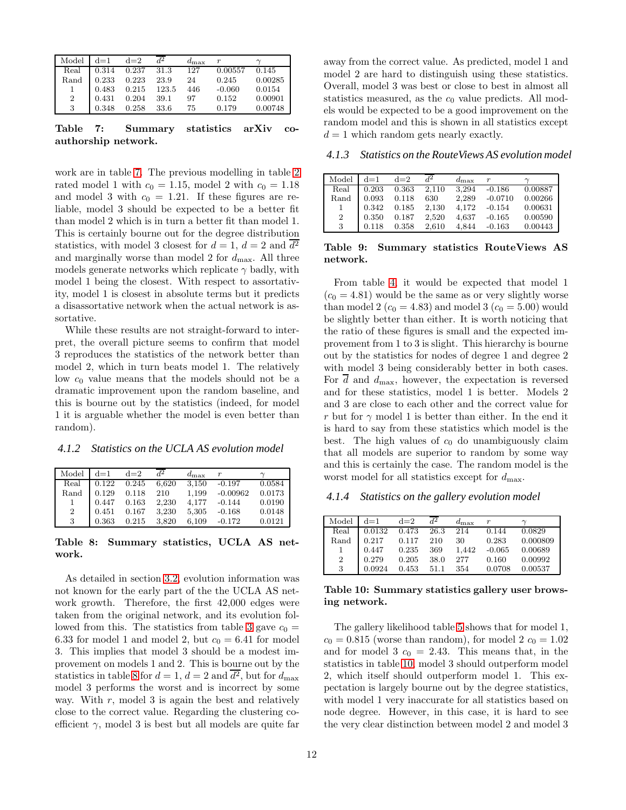| Model          | $d=1$ | $d=2$ | $d^2$ | $d_{\text{max}}$ |          |         |
|----------------|-------|-------|-------|------------------|----------|---------|
| Real           | 0.314 | 0.237 | 31.3  | 127              | 0.00557  | 0.145   |
| Rand           | 0.233 | 0.223 | 23.9  | 24               | 0.245    | 0.00285 |
|                | 0.483 | 0.215 | 123.5 | 446              | $-0.060$ | 0.0154  |
| $\overline{2}$ | 0.431 | 0.204 | 39.1  | 97               | 0.152    | 0.00901 |
| 3              | 0.348 | 0.258 | 33.6  | 75               | 0.179    | 0.00748 |

<span id="page-11-0"></span>Table 7: Summary statistics arXiv coauthorship network.

work are in table [7.](#page-11-0) The previous modelling in table [2](#page-7-5) rated model 1 with  $c_0 = 1.15$ , model 2 with  $c_0 = 1.18$ and model 3 with  $c_0 = 1.21$ . If these figures are reliable, model 3 should be expected to be a better fit than model 2 which is in turn a better fit than model 1. This is certainly bourne out for the degree distribution statistics, with model 3 closest for  $d = 1$ ,  $d = 2$  and  $d^2$ and marginally worse than model 2 for  $d_{\text{max}}$ . All three models generate networks which replicate  $\gamma$  badly, with model 1 being the closest. With respect to assortativity, model 1 is closest in absolute terms but it predicts a disassortative network when the actual network is assortative.

While these results are not straight-forward to interpret, the overall picture seems to confirm that model 3 reproduces the statistics of the network better than model 2, which in turn beats model 1. The relatively low  $c_0$  value means that the models should not be a dramatic improvement upon the random baseline, and this is bourne out by the statistics (indeed, for model 1 it is arguable whether the model is even better than random).

*4.1.2 Statistics on the UCLA AS evolution model*

| Model          | $d=1$ | $d=2$ | $d^2$ | $d_{\text{max}}$ | $\boldsymbol{r}$ |        |
|----------------|-------|-------|-------|------------------|------------------|--------|
| Real           | 0.122 | 0.245 | 6,620 | 3.150            | $-0.197$         | 0.0584 |
| Rand           | 0.129 | 0.118 | 210   | 1.199            | $-0.00962$       | 0.0173 |
|                | 0.447 | 0.163 | 2,230 | 4.177            | $-0.144$         | 0.0190 |
| $\overline{2}$ | 0.451 | 0.167 | 3.230 | 5,305            | $-0.168$         | 0.0148 |
| 3              | 0.363 | 0.215 | 3.820 | 6.109            | $-0.172$         | 0.0121 |

#### <span id="page-11-1"></span>Table 8: Summary statistics, UCLA AS network.

As detailed in section [3.2,](#page-7-0) evolution information was not known for the early part of the the UCLA AS network growth. Therefore, the first 42,000 edges were taken from the original network, and its evolution fol-lowed from this. The statistics from table [3](#page-8-2) gave  $c_0 =$ 6.33 for model 1 and model 2, but  $c_0 = 6.41$  for model 3. This implies that model 3 should be a modest improvement on models 1 and 2. This is bourne out by the statistics in table [8](#page-11-1) for  $d = 1$ ,  $d = 2$  and  $d^2$ , but for  $d_{\text{max}}$ model 3 performs the worst and is incorrect by some way. With  $r$ , model 3 is again the best and relatively close to the correct value. Regarding the clustering coefficient  $\gamma$ , model 3 is best but all models are quite far

away from the correct value. As predicted, model 1 and model 2 are hard to distinguish using these statistics. Overall, model 3 was best or close to best in almost all statistics measured, as the  $c_0$  value predicts. All models would be expected to be a good improvement on the random model and this is shown in all statistics except  $d = 1$  which random gets nearly exactly.

*4.1.3 Statistics on the RouteViews AS evolution model*

| Model          | $d=1$ | $d=2$ | $d^2$ | $d_{\text{max}}$ | $\boldsymbol{r}$ |         |
|----------------|-------|-------|-------|------------------|------------------|---------|
| Real           | 0.203 | 0.363 | 2.110 | 3.294            | $-0.186$         | 0.00887 |
| Rand           | 0.093 | 0.118 | 630   | 2.289            | $-0.0710$        | 0.00266 |
| -1             | 0.342 | 0.185 | 2.130 | 4.172            | $-0.154$         | 0.00631 |
| $\overline{2}$ | 0.350 | 0.187 | 2,520 | 4.637            | $-0.165$         | 0.00590 |
| 3              | 0.118 | 0.358 | 2.610 | 4.844            | $-0.163$         | 0.00443 |

Table 9: Summary statistics RouteViews AS network.

From table [4,](#page-9-2) it would be expected that model 1  $(c_0 = 4.81)$  would be the same as or very slightly worse than model 2 ( $c_0 = 4.83$ ) and model 3 ( $c_0 = 5.00$ ) would be slightly better than either. It is worth noticing that the ratio of these figures is small and the expected improvement from 1 to 3 is slight. This hierarchy is bourne out by the statistics for nodes of degree 1 and degree 2 with model 3 being considerably better in both cases. For  $d$  and  $d_{\text{max}}$ , however, the expectation is reversed and for these statistics, model 1 is better. Models 2 and 3 are close to each other and the correct value for r but for  $\gamma$  model 1 is better than either. In the end it is hard to say from these statistics which model is the best. The high values of  $c_0$  do unambiguously claim that all models are superior to random by some way and this is certainly the case. The random model is the worst model for all statistics except for  $d_{\text{max}}$ .

*4.1.4 Statistics on the gallery evolution model*

| Model | $d=1$                                               | $d=2$        | $d^2$  | $d_{\text{max}}$ |        |                  |
|-------|-----------------------------------------------------|--------------|--------|------------------|--------|------------------|
| Real  | $0.0132 \quad 0.473 \quad 26.3$                     |              |        | 214              | 0.144  | 0.0829           |
| Rand  | $\begin{bmatrix} 0.217 & 0.117 & 210 \end{bmatrix}$ |              |        | - 30             | 0.283  | 0.000809         |
|       | $0.447$ $0.235$                                     |              | 369    | 1.442            |        | $-0.065$ 0.00689 |
| 2     | 0.279                                               | 0.205        | - 38.0 | 277              | 0.160  | 0.00992          |
| 3     | 0.0924                                              | $0.453$ 51.1 |        | 354              | 0.0708 | 0.00537          |

<span id="page-11-2"></span>Table 10: Summary statistics gallery user browsing network.

The gallery likelihood table [5](#page-9-4) shows that for model 1,  $c_0 = 0.815$  (worse than random), for model 2  $c_0 = 1.02$ and for model 3  $c_0 = 2.43$ . This means that, in the statistics in table [10,](#page-11-2) model 3 should outperform model 2, which itself should outperform model 1. This expectation is largely bourne out by the degree statistics, with model 1 very inaccurate for all statistics based on node degree. However, in this case, it is hard to see the very clear distinction between model 2 and model 3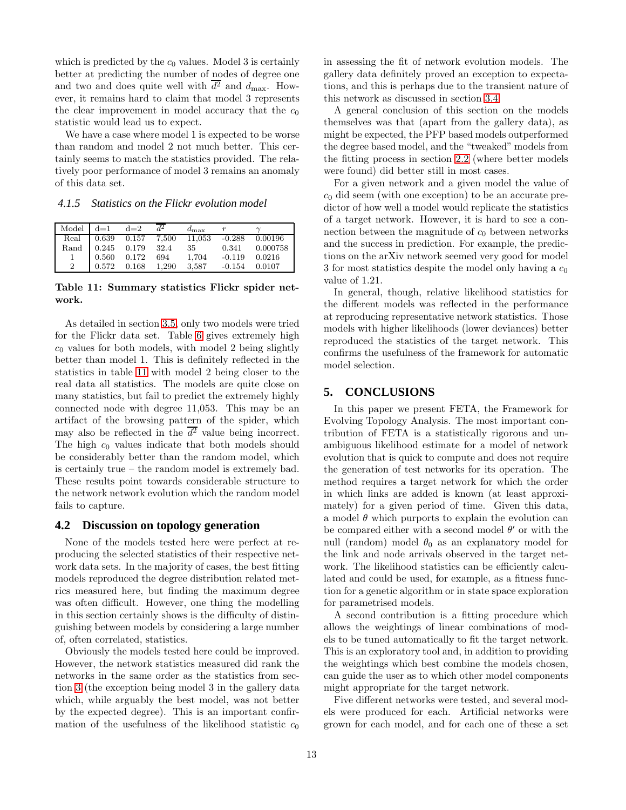which is predicted by the  $c_0$  values. Model 3 is certainly better at predicting the number of nodes of degree one and two and does quite well with  $d^2$  and  $d_{\text{max}}$ . However, it remains hard to claim that model 3 represents the clear improvement in model accuracy that the  $c_0$ statistic would lead us to expect.

We have a case where model 1 is expected to be worse than random and model 2 not much better. This certainly seems to match the statistics provided. The relatively poor performance of model 3 remains an anomaly of this data set.

*4.1.5 Statistics on the Flickr evolution model*

|                | Model $d=1$ $d=2$ |                          | $d_{\text{max}}$                                    |                     |                |
|----------------|-------------------|--------------------------|-----------------------------------------------------|---------------------|----------------|
|                |                   |                          | Real   0.639  0.157  7.500  11.053  -0.288  0.00196 |                     |                |
|                |                   | Rand 0.245 0.179 32.4 35 |                                                     |                     | 0.341 0.000758 |
|                |                   | 0.560 0.172 694          | 1.704                                               | $-0.119$ $0.0216$   |                |
| $\overline{2}$ |                   | $0.572$ $0.168$ $1,290$  |                                                     | 3,587 -0.154 0.0107 |                |

<span id="page-12-0"></span>Table 11: Summary statistics Flickr spider network.

As detailed in section [3.5,](#page-9-1) only two models were tried for the Flickr data set. Table [6](#page-10-1) gives extremely high  $c_0$  values for both models, with model 2 being slightly better than model 1. This is definitely reflected in the statistics in table [11](#page-12-0) with model 2 being closer to the real data all statistics. The models are quite close on many statistics, but fail to predict the extremely highly connected node with degree 11,053. This may be an artifact of the browsing pattern of the spider, which may also be reflected in the  $d^2$  value being incorrect. The high  $c_0$  values indicate that both models should be considerably better than the random model, which is certainly true – the random model is extremely bad. These results point towards considerable structure to the network network evolution which the random model fails to capture.

#### **4.2 Discussion on topology generation**

None of the models tested here were perfect at reproducing the selected statistics of their respective network data sets. In the majority of cases, the best fitting models reproduced the degree distribution related metrics measured here, but finding the maximum degree was often difficult. However, one thing the modelling in this section certainly shows is the difficulty of distinguishing between models by considering a large number of, often correlated, statistics.

Obviously the models tested here could be improved. However, the network statistics measured did rank the networks in the same order as the statistics from section [3](#page-5-0) (the exception being model 3 in the gallery data which, while arguably the best model, was not better by the expected degree). This is an important confirmation of the usefulness of the likelihood statistic  $c_0$  in assessing the fit of network evolution models. The gallery data definitely proved an exception to expectations, and this is perhaps due to the transient nature of this network as discussed in section [3.4.](#page-9-0)

A general conclusion of this section on the models themselves was that (apart from the gallery data), as might be expected, the PFP based models outperformed the degree based model, and the "tweaked" models from the fitting process in section [2.2](#page-4-0) (where better models were found) did better still in most cases.

For a given network and a given model the value of  $c_0$  did seem (with one exception) to be an accurate predictor of how well a model would replicate the statistics of a target network. However, it is hard to see a connection between the magnitude of  $c_0$  between networks and the success in prediction. For example, the predictions on the arXiv network seemed very good for model 3 for most statistics despite the model only having a  $c_0$ value of 1.21.

In general, though, relative likelihood statistics for the different models was reflected in the performance at reproducing representative network statistics. Those models with higher likelihoods (lower deviances) better reproduced the statistics of the target network. This confirms the usefulness of the framework for automatic model selection.

#### **5. CONCLUSIONS**

In this paper we present FETA, the Framework for Evolving Topology Analysis. The most important contribution of FETA is a statistically rigorous and unambiguous likelihood estimate for a model of network evolution that is quick to compute and does not require the generation of test networks for its operation. The method requires a target network for which the order in which links are added is known (at least approximately) for a given period of time. Given this data, a model  $\theta$  which purports to explain the evolution can be compared either with a second model  $\theta'$  or with the null (random) model  $\theta_0$  as an explanatory model for the link and node arrivals observed in the target network. The likelihood statistics can be efficiently calculated and could be used, for example, as a fitness function for a genetic algorithm or in state space exploration for parametrised models.

A second contribution is a fitting procedure which allows the weightings of linear combinations of models to be tuned automatically to fit the target network. This is an exploratory tool and, in addition to providing the weightings which best combine the models chosen, can guide the user as to which other model components might appropriate for the target network.

Five different networks were tested, and several models were produced for each. Artificial networks were grown for each model, and for each one of these a set